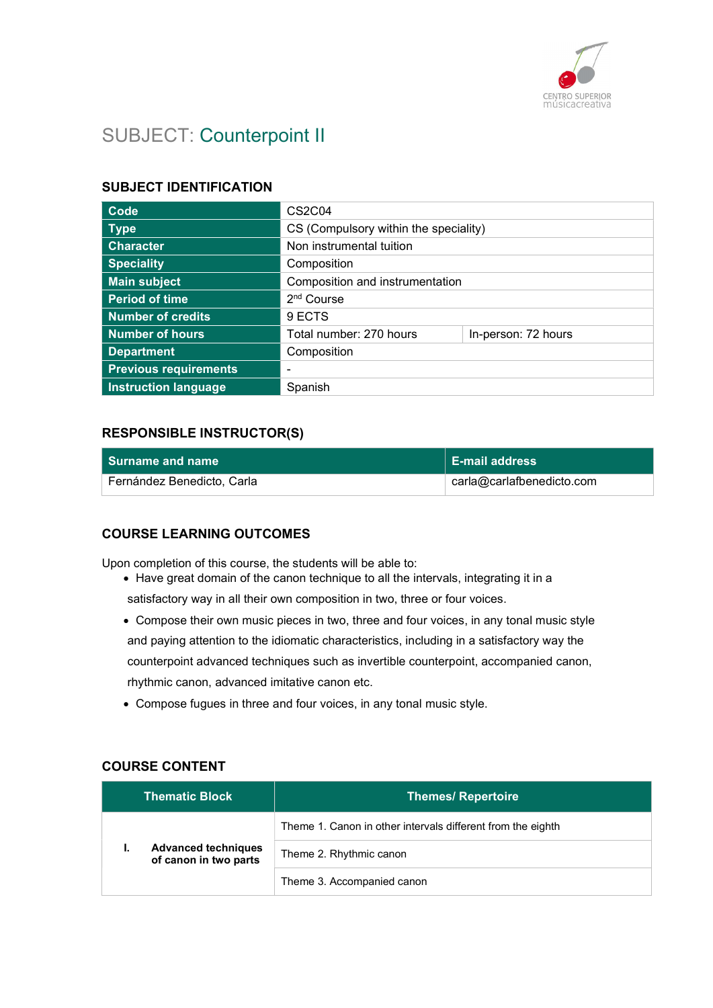

# SUBJECT: Counterpoint II

#### SUBJECT IDENTIFICATION

| Code                         | CS <sub>2</sub> C <sub>04</sub>       |                     |
|------------------------------|---------------------------------------|---------------------|
| <b>Type</b>                  | CS (Compulsory within the speciality) |                     |
| <b>Character</b>             | Non instrumental tuition              |                     |
| <b>Speciality</b>            | Composition                           |                     |
| <b>Main subject</b>          | Composition and instrumentation       |                     |
| <b>Period of time</b>        | 2 <sup>nd</sup> Course                |                     |
| <b>Number of credits</b>     | 9 ECTS                                |                     |
| <b>Number of hours</b>       | Total number: 270 hours               | In-person: 72 hours |
| <b>Department</b>            | Composition                           |                     |
| <b>Previous requirements</b> |                                       |                     |
| <b>Instruction language</b>  | Spanish                               |                     |

#### RESPONSIBLE INSTRUCTOR(S)

| <b>Surname and name</b>    | $\vert$ E-mail address    |
|----------------------------|---------------------------|
| Fernández Benedicto, Carla | carla@carlafbenedicto.com |

#### COURSE LEARNING OUTCOMES

Upon completion of this course, the students will be able to:

- Have great domain of the canon technique to all the intervals, integrating it in a satisfactory way in all their own composition in two, three or four voices.
- Compose their own music pieces in two, three and four voices, in any tonal music style and paying attention to the idiomatic characteristics, including in a satisfactory way the counterpoint advanced techniques such as invertible counterpoint, accompanied canon, rhythmic canon, advanced imitative canon etc.
- Compose fugues in three and four voices, in any tonal music style.

#### COURSE CONTENT

|                                                           | <b>Thematic Block</b>      | <b>Themes/ Repertoire</b>                                   |
|-----------------------------------------------------------|----------------------------|-------------------------------------------------------------|
|                                                           |                            | Theme 1. Canon in other intervals different from the eighth |
| <b>Advanced techniques</b><br>٠.<br>of canon in two parts | Theme 2. Rhythmic canon    |                                                             |
|                                                           | Theme 3. Accompanied canon |                                                             |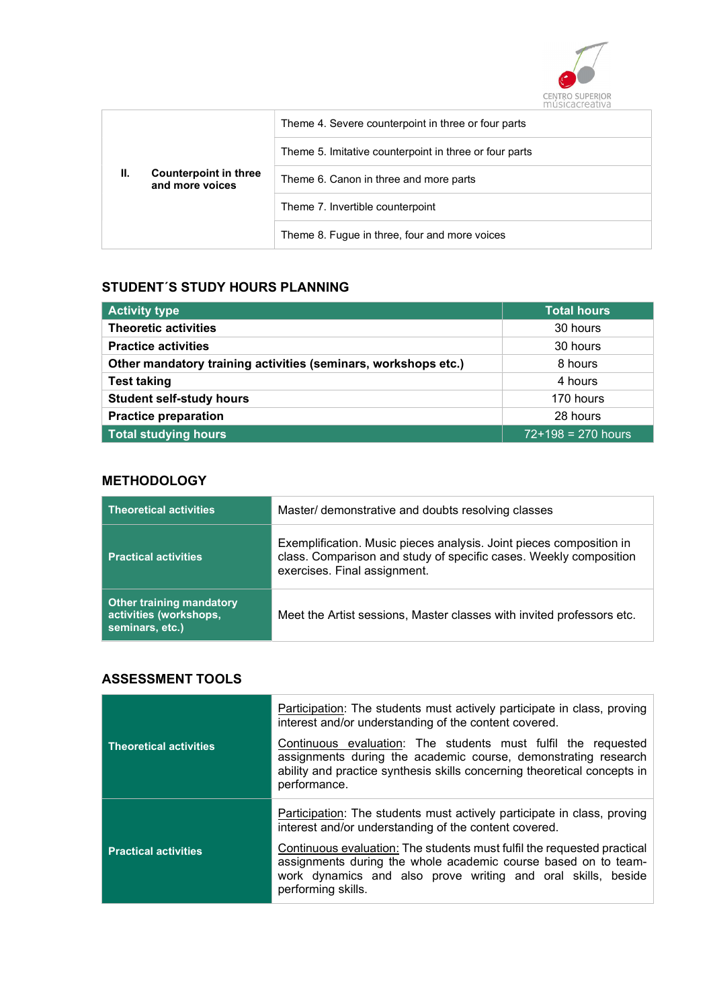

|  | Theme 4. Severe counterpoint in three or four parts    |                                        |
|--|--------------------------------------------------------|----------------------------------------|
|  | Theme 5. Imitative counterpoint in three or four parts |                                        |
|  | Counterpoint in three<br>and more voices               | Theme 6. Canon in three and more parts |
|  | Theme 7. Invertible counterpoint                       |                                        |
|  | Theme 8. Fugue in three, four and more voices          |                                        |

### STUDENT´S STUDY HOURS PLANNING

| <b>Activity type</b>                                           | <b>Total hours</b>   |
|----------------------------------------------------------------|----------------------|
| <b>Theoretic activities</b>                                    | 30 hours             |
| <b>Practice activities</b>                                     | 30 hours             |
| Other mandatory training activities (seminars, workshops etc.) | 8 hours              |
| <b>Test taking</b>                                             | 4 hours              |
| <b>Student self-study hours</b>                                | 170 hours            |
| <b>Practice preparation</b>                                    | 28 hours             |
| Total studying hours                                           | $72+198 = 270$ hours |

### **METHODOLOGY**

| <b>Theoretical activities</b>                                                | Master/ demonstrative and doubts resolving classes                                                                                                                       |
|------------------------------------------------------------------------------|--------------------------------------------------------------------------------------------------------------------------------------------------------------------------|
| <b>Practical activities</b>                                                  | Exemplification. Music pieces analysis. Joint pieces composition in<br>class. Comparison and study of specific cases. Weekly composition<br>exercises. Final assignment. |
| <b>Other training mandatory</b><br>activities (workshops,<br>seminars, etc.) | Meet the Artist sessions, Master classes with invited professors etc.                                                                                                    |

### ASSESSMENT TOOLS

|                               | Participation: The students must actively participate in class, proving<br>interest and/or understanding of the content covered.                                                                                                |
|-------------------------------|---------------------------------------------------------------------------------------------------------------------------------------------------------------------------------------------------------------------------------|
| <b>Theoretical activities</b> | Continuous evaluation: The students must fulfil the requested<br>assignments during the academic course, demonstrating research<br>ability and practice synthesis skills concerning theoretical concepts in<br>performance.     |
|                               | Participation: The students must actively participate in class, proving<br>interest and/or understanding of the content covered.                                                                                                |
| <b>Practical activities</b>   | Continuous evaluation: The students must fulfil the requested practical<br>assignments during the whole academic course based on to team-<br>work dynamics and also prove writing and oral skills, beside<br>performing skills. |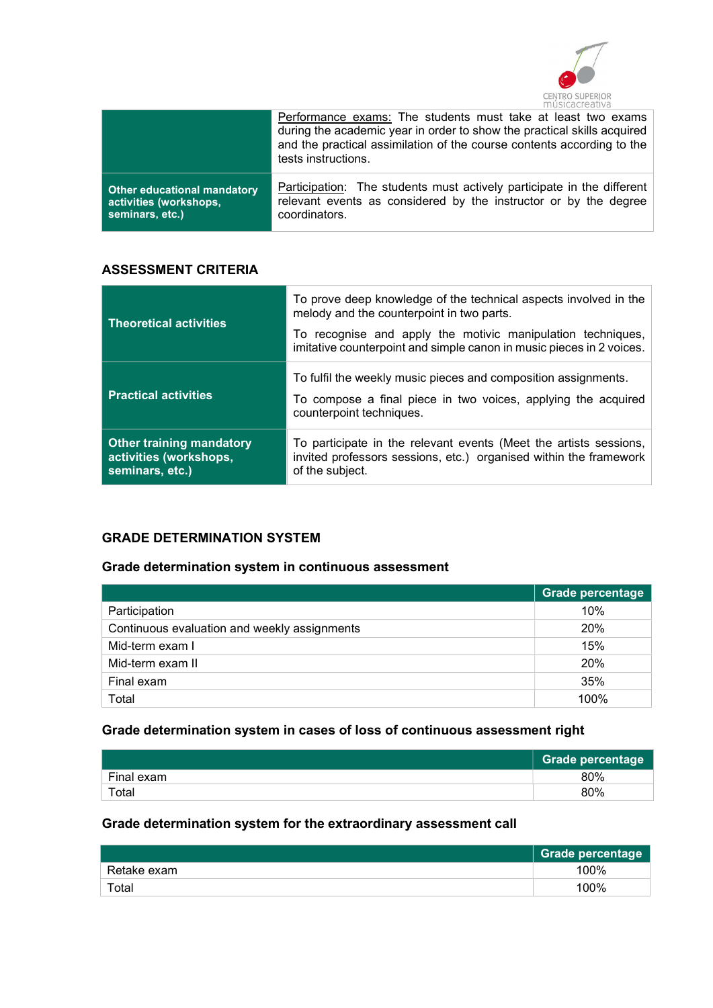

|                                    | Performance exams: The students must take at least two exams<br>during the academic year in order to show the practical skills acquired<br>and the practical assimilation of the course contents according to the<br>tests instructions. |
|------------------------------------|------------------------------------------------------------------------------------------------------------------------------------------------------------------------------------------------------------------------------------------|
| <b>Other educational mandatory</b> | Participation: The students must actively participate in the different                                                                                                                                                                   |
| activities (workshops,             | relevant events as considered by the instructor or by the degree                                                                                                                                                                         |
| seminars, etc.)                    | coordinators.                                                                                                                                                                                                                            |

#### ASSESSMENT CRITERIA

| <b>Theoretical activities</b>                                                | To prove deep knowledge of the technical aspects involved in the<br>melody and the counterpoint in two parts.<br>To recognise and apply the motivic manipulation techniques,<br>imitative counterpoint and simple canon in music pieces in 2 voices. |
|------------------------------------------------------------------------------|------------------------------------------------------------------------------------------------------------------------------------------------------------------------------------------------------------------------------------------------------|
| <b>Practical activities</b>                                                  | To fulfil the weekly music pieces and composition assignments.<br>To compose a final piece in two voices, applying the acquired<br>counterpoint techniques.                                                                                          |
| <b>Other training mandatory</b><br>activities (workshops,<br>seminars, etc.) | To participate in the relevant events (Meet the artists sessions,<br>invited professors sessions, etc.) organised within the framework<br>of the subject.                                                                                            |

### GRADE DETERMINATION SYSTEM

### Grade determination system in continuous assessment

|                                              | <b>Grade percentage</b> |
|----------------------------------------------|-------------------------|
| Participation                                | 10%                     |
| Continuous evaluation and weekly assignments | 20%                     |
| Mid-term exam I                              | 15%                     |
| Mid-term exam II                             | 20%                     |
| Final exam                                   | 35%                     |
| Total                                        | 100%                    |

### Grade determination system in cases of loss of continuous assessment right

|            | <b>Grade percentage</b> |
|------------|-------------------------|
| Final exam | 80%                     |
| Total      | 80%                     |

### Grade determination system for the extraordinary assessment call

|             | Grade percentage |
|-------------|------------------|
| Retake exam | 100%             |
| Total       | 100%             |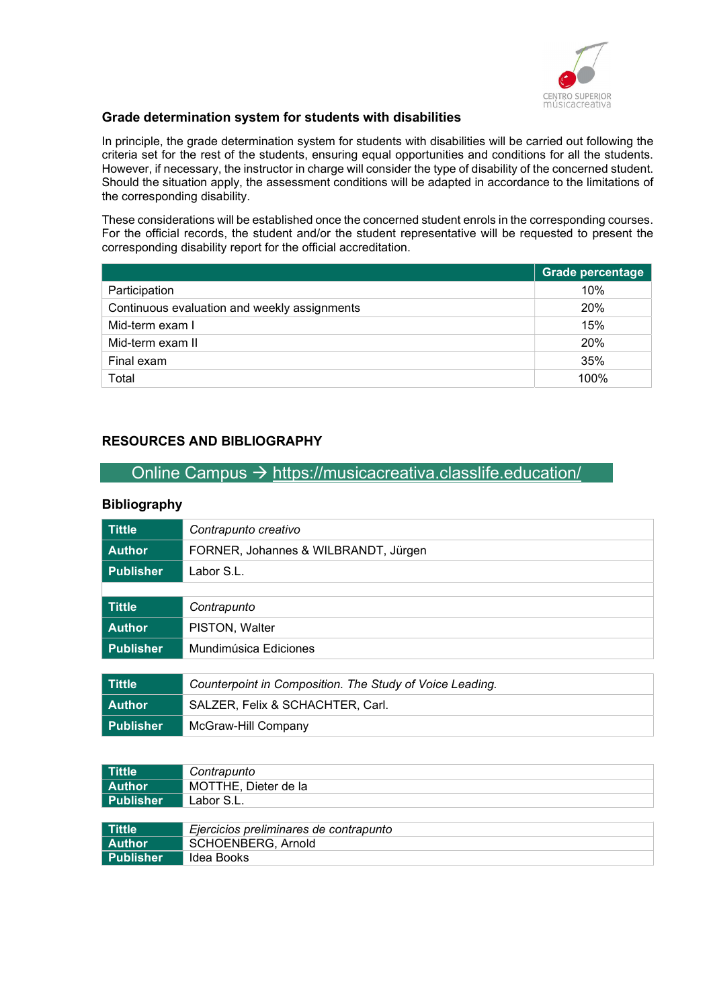

#### Grade determination system for students with disabilities

In principle, the grade determination system for students with disabilities will be carried out following the criteria set for the rest of the students, ensuring equal opportunities and conditions for all the students. However, if necessary, the instructor in charge will consider the type of disability of the concerned student. Should the situation apply, the assessment conditions will be adapted in accordance to the limitations of the corresponding disability.

These considerations will be established once the concerned student enrols in the corresponding courses. For the official records, the student and/or the student representative will be requested to present the corresponding disability report for the official accreditation.

|                                              | <b>Grade percentage</b> |
|----------------------------------------------|-------------------------|
| Participation                                | 10%                     |
| Continuous evaluation and weekly assignments | 20%                     |
| Mid-term exam I                              | 15%                     |
| Mid-term exam II                             | 20%                     |
| Final exam                                   | 35%                     |
| Total                                        | 100%                    |

#### RESOURCES AND BIBLIOGRAPHY

Publisher McGraw-Hill Company

### Online Campus  $\rightarrow$  https://musicacreativa.classlife.education/

#### Bibliography

| <b>Tittle</b>    | Contrapunto creativo                                     |
|------------------|----------------------------------------------------------|
| <b>Author</b>    | FORNER, Johannes & WILBRANDT, Jürgen                     |
| <b>Publisher</b> | Labor S.L.                                               |
|                  |                                                          |
| <b>Tittle</b>    | Contrapunto                                              |
| <b>Author</b>    | PISTON, Walter                                           |
| <b>Publisher</b> | Mundimúsica Ediciones                                    |
|                  |                                                          |
| <b>Tittle</b>    | Counterpoint in Composition. The Study of Voice Leading. |
| <b>Author</b>    | SALZER, Felix & SCHACHTER, Carl.                         |
|                  |                                                          |

| Tittle        | Contrapunto                            |
|---------------|----------------------------------------|
| <b>Author</b> | MOTTHE, Dieter de la                   |
| Publisher     | Labor S.L.                             |
|               |                                        |
| Tittle        | Ejercicios preliminares de contrapunto |
| <b>Author</b> | SCHOENBERG, Arnold                     |
| Publisher     | Idea Books                             |